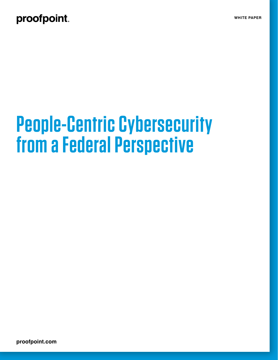### proofpoint.

# **People-Centric Cybersecurity from a Federal Perspective**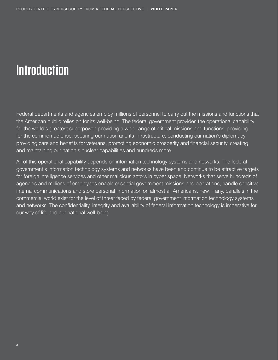# **Introduction**

Federal departments and agencies employ millions of personnel to carry out the missions and functions that the American public relies on for its well-being. The federal government provides the operational capability for the world's greatest superpower, providing a wide range of critical missions and functions: providing for the common defense, securing our nation and its infrastructure, conducting our nation's diplomacy, providing care and benefits for veterans, promoting economic prosperity and financial security, creating and maintaining our nation's nuclear capabilities and hundreds more.

All of this operational capability depends on information technology systems and networks. The federal government's information technology systems and networks have been and continue to be attractive targets for foreign intelligence services and other malicious actors in cyber space. Networks that serve hundreds of agencies and millions of employees enable essential government missions and operations, handle sensitive internal communications and store personal information on almost all Americans. Few, if any, parallels in the commercial world exist for the level of threat faced by federal government information technology systems and networks. The confidentiality, integrity and availability of federal information technology is imperative for our way of life and our national well-being.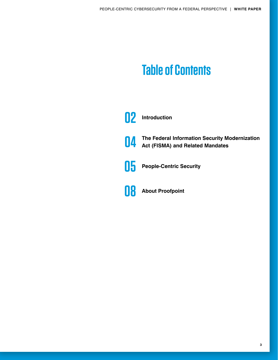## **Table of Contents**



- **04 The Federal Information Security Modernization Act (FISMA) and Related Mandates**
- **05 People-Centric Security**

**08 About Proofpoint**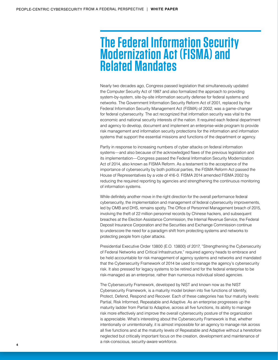### **The Federal Information Security Modernization Act (FISMA) and Related Mandates**

Nearly two decades ago, Congress passed legislation that simultaneously updated the Computer Security Act of 1987 and also formalized the approach to providing system-by-system, site-by-site information security defense for federal systems and networks. The Government Information Security Reform Act of 2001, replaced by the Federal Information Security Management Act (FISMA) of 2002, was a game-changer for federal cybersecurity. The act recognized that information security was vital to the economic and national security interests of the nation. It required each federal department and agency to develop, document and implement an enterprise-wide program to provide risk management and information security protections for the information and information systems that support the essential missions and functions of the department or agency.

Partly in response to increasing numbers of cyber attacks on federal information systems—and also because of the acknowledged flaws of the previous legislation and its implementation—Congress passed the Federal Information Security Modernization Act of 2014, also known as FISMA Reform. As a testament to the acceptance of the importance of cybersecurity by both political parties, the FISMA Reform Act passed the House of Representatives by a vote of 416-0. FISMA 2014 amended FISMA 2002 by reducing the required reporting by agencies and strengthening the continuous monitoring of information systems.

While definitely another move in the right direction for the overall performance federal cybersecurity, the implementation and management of federal cybersecurity improvements, led by OMB and DHS, remains spotty. The Office of Personnel Management breach of 2015, involving the theft of 22 million personnel records by Chinese hackers, and subsequent breaches at the Election Assistance Commission, the Internal Revenue Service, the Federal Deposit Insurance Corporation and the Securities and Exchange Commission continue to underscore the need for a paradigm shift from protecting systems and networks to protecting people from cyber attacks.

Presidential Executive Order 13800 (E.O. 13800) of 2017, "Strengthening the Cybersecurity of Federal Networks and Critical Infrastructure," required agency heads to embrace and be held accountable for risk management of agency systems and networks and mandated that the Cybersecurity Framework of 2014 be used to manage the agency's cybersecurity risk. It also pressed for legacy systems to be retired and for the federal enterprise to be risk-managed as an enterprise, rather than numerous individual siloed agencies.

The Cybersecurity Framework, developed by NIST and known now as the NIST Cybersecurity Framework, is a maturity model broken into five functions of Identify, Protect, Defend, Respond and Recover. Each of these categories has four maturity levels: Partial, Risk Informed, Repeatable and Adaptive. As an enterprise progresses up the maturity ladder from Partial to Adaptive, across all five functions, its ability to manage risk more effectively and improve the overall cybersecurity posture of the organization is appreciable. What's interesting about the Cybersecurity Framework is that, whether intentionally or unintentionally, it is almost impossible for an agency to manage risk across all five functions and at the maturity levels of Repeatable and Adaptive without a heretofore neglected but critically important focus on the creation, development and maintenance of a risk-conscious, security-aware workforce.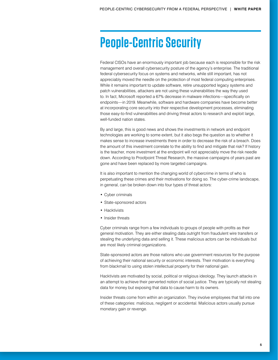### **People-Centric Security**

Federal CISOs have an enormously important job because each is responsible for the risk management and overall cybersecurity posture of the agency's enterprise. The traditional federal cybersecurity focus on systems and networks, while still important, has not appreciably moved the needle on the protection of most federal computing enterprises. While it remains important to update software, retire unsupported legacy systems and patch vulnerabilities, attackers are not using these vulnerabilities the way they used to. In fact, Microsoft reported a 67% decrease in malware infections—specifically on endpoints—in 2019. Meanwhile, software and hardware companies have become better at incorporating core security into their respective development processes, eliminating those easy-to-find vulnerabilities and driving threat actors to research and exploit large, well-funded nation states.

By and large, this is good news and shows the investments in network and endpoint technologies are working to some extent, but it also begs the question as to whether it makes sense to increase investments there in order to decrease the risk of a breach. Does the amount of this investment correlate to the ability to find and mitigate that risk? If history is the teacher, more investment at the endpoint will not appreciably move the risk needle down. According to Proofpoint Threat Research, the massive campaigns of years past are gone and have been replaced by more targeted campaigns.

It is also important to mention the changing world of cybercrime in terms of who is perpetuating these crimes and their motivations for doing so. The cyber-crime landscape, in general, can be broken down into four types of threat actors:

- Cyber criminals
- State-sponsored actors
- Hacktivists
- Insider threats

Cyber criminals range from a few individuals to groups of people with profits as their general motivation. They are either stealing data outright from fraudulent wire transfers or stealing the underlying data and selling it. These malicious actors can be individuals but are most likely criminal organizations.

State-sponsored actors are those nations who use government resources for the purpose of achieving their national security or economic interests. Their motivation is everything from blackmail to using stolen intellectual property for their national gain.

Hacktivists are motivated by social, political or religious ideology. They launch attacks in an attempt to achieve their perverted notion of social justice. They are typically not stealing data for money but exposing that data to cause harm to its owners.

Insider threats come from within an organization. They involve employees that fall into one of these categories: malicious, negligent or accidental. Malicious actors usually pursue monetary gain or revenge.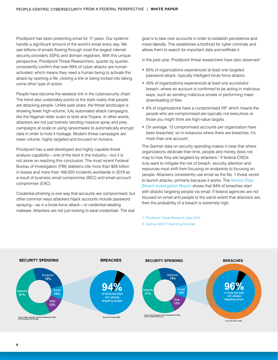Proofpoint has been protecting email for 17 years. Our systems handle a significant amount of the world's email every day. We see billions of emails flowing through most the largest internet security providers (ISPs) and domain registrars. With this unique perspective, Proofpoint Threat Researchers, quarter by quarter, consistently confirm that over 99% of cyber attacks are human activated, which means they need a human being to activate the attack by opening a file, clicking a link or being tricked into taking some other type of action.

People have become the weakest link in the cybersecurity chain. The trend also undeniably points to the stark reality that people are attacking people. Unlike past years, the threat landscape is showing fewer high-volume, fully automated attack campaigns, like the Nigerian letter scam or bots and Trojans. In other words, attackers are not just botnets sending massive spray and prey campaigns at scale or using ransomware to automatically encrypt data in order to hold it hostage. Modern threat campaigns are lower volume, highly targeted and *focused on humans*.

Proofpoint has a well-developed and highly capable threat analysis capability—one of the best in the industry—but it is not alone on reaching this conclusion. The most recent Federal Bureau of Investigation (FBI) statistics cite more than \$26 billion in losses and more than 166,000 incidents worldwide in 2019 as a result of business email compromise (BEC) and email account compromise (EAC).

Credential phishing is one way that accounts are compromised, but other common ways attackers hijack accounts include password spraying—as in a brute-force attack—or credential-stealing malware. Attackers are not just looking to steal credentials. The real

goal is to take over accounts in order to establish persistence and move laterally. This establishes a foothold for cyber criminals and allows them to search for important data and exfiltrate it.

In the past year, Proofpoint threat researchers have also observed:<sup>1</sup>

- 85% of organizations experienced at least one targeted password attack, typically intelligent brute force attacks.
- 45% of organizations experienced at least one successful breach, where an account is confirmed to be acting in malicious ways, such as sending malicious emails or performing mass downloading of files.
- 6% of organizations have a compromised VIP, which means the people who are compromised are typically not executives or those you might think are high-value targets.
- On average, 13 compromised accounts per organization have been breached, so in instances where there are breaches, it's more than one account.

The Gartner data on security spending makes it clear that where organizations dedicate their time, people and money does not map to how they are targeted by attackers.2 If federal CISOs truly want to mitigate the risk of breach, security attention and resources must shift from focusing on endpoints to focusing on people. Attackers consistently use email as the No. 1 threat vector to launch attacks, primarily because it works. The [Verizon Data](https://www.verizonenterprise.com/verizon-insights-lab/dbir/)  [Breach Investigation Report](https://www.verizonenterprise.com/verizon-insights-lab/dbir/) shows that 94% of breaches start with attacks targeting people via email. If federal agencies are not focused on email and people to the same extent that attackers are, then the probability of a breach is extremely high.

1 [Proofpoint Threat Research, Sept 2019](https://www.proofpoint.com/us/threat-insight/post/cloud-attacks-prove-effective-across-industries-first-half-2019)

2 [Gartner 2019 IT Spending Forecast](https://www.gartner.com/technology/research/it-spending-forecast/)

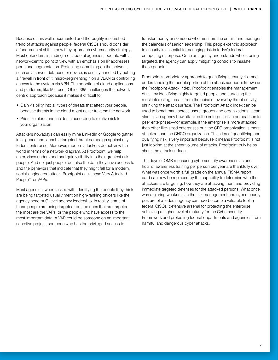Because of this well-documented and thoroughly researched trend of attacks against people, federal CISOs should consider a fundamental shift in how they approach cybersecurity strategy. Most defenders, including most federal agencies, operate with a network-centric point of view with an emphasis on IP addresses, ports and segmentation. Protecting something on the network, such as a server, database or device, is usually handled by putting a firewall in front of it, micro-segmenting it on a VLAN or controlling access to the system via VPN. The adoption of cloud applications and platforms, like Microsoft Office 365, challenges the networkcentric approach because it makes it difficult to:

- Gain visibility into all types of threats that affect your people, because threats in the cloud might never traverse the network
- Prioritize alerts and incidents according to relative risk to your organization

Attackers nowadays can easily mine LinkedIn or Google to gather intelligence and launch a targeted threat campaign against any federal enterprise. Moreover, modern attackers do not view the world in terms of a network diagram. At Proofpoint, we help enterprises understand and gain visibility into their greatest risk: people. And not just people, but also the data they have access to and the behaviors that indicate that they might fall for a modern, social-engineered attack. Proofpoint calls these Very Attacked People™ or VAPs.

Most agencies, when tasked with identifying the people they think are being targeted usually mention high-ranking officers like the agency head or C-level agency leadership. In reality, some of those people are being targeted, but the ones that are targeted the most are the VAPs, or the people who have access to the most important data. A VAP could be someone on an important secretive project, someone who has the privileged access to

transfer money or someone who monitors the emails and manages the calendars of senior leadership. This people-centric approach to security is essential to managing risk in today's federal computing enterprise. Once an agency understands who is being targeted, the agency can apply mitigating controls to insulate those people.

Proofpoint's proprietary approach to quantifying security risk and understanding the people portion of the attack surface is known as the Proofpoint Attack Index. Proofpoint enables the management of risk by identifying highly targeted people and surfacing the most interesting threats from the noise of everyday threat activity, shrinking the attack surface. The Proofpoint Attack Index can be used to benchmark across users, groups and organizations. It can also tell an agency how attacked the enterprise is in comparison to peer enterprises—for example, if the enterprise is more attacked than other like-sized enterprises or if the CFO organization is more attacked than the CHCO organization. This idea of quantifying and qualifying risk is very important because it means Proofpoint is not just looking at the sheer volume of attacks. Proofpoint truly helps shrink the attack surface.

The days of OMB measuring cybersecurity awareness as one hour of awareness training per person per year are thankfully over. What was once worth a full grade on the annual FISMA report card can now be replaced by the capability to determine who the attackers are targeting, how they are attacking them and providing immediate targeted defenses for the attacked persons. What once was a glaring weakness in the risk management and cybersecurity posture of a federal agency can now become a valuable tool in federal CISOs' defensive arsenal for protecting the enterprise, achieving a higher level of maturity for the Cybersecurity Framework and protecting federal departments and agencies from harmful and dangerous cyber attacks.